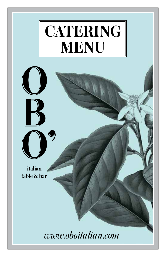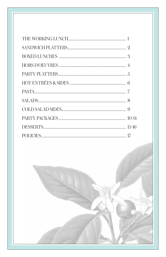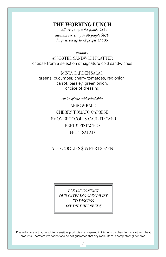# **THE WORKING LUNCH**

*small serves up to 24 people \$435 medium serves up to 48 people \$870 large serves up to 72 people \$1,305*

*includes:*

ASSORTED SANDWICH PLATTER choose from a selection of signature cold sandwiches

MISTA GARDEN SALAD greens, cucumber, cherry tomatoes, red onion, carrot, parsley, green onion, choice of dressing

*choice of one cold salad side:*

FARRO & KALE CHERRY TOMATO CAPRESE LEMON BROCCOLI & CAULIFLOWER BEET & PISTACHIO FRUIT SALAD

## ADD COOKIES \$35 PER DOZEN

*PLEASE CONTACT OUR CATERING SPECIALIST TO DISCUSS ANY DIETARY NEEDS.*

Please be aware that our gluten sensitive products are prepared in kitchens that handle many other wheat products. Therefore we cannot and do not guarantee that any menu item is completely gluten-free.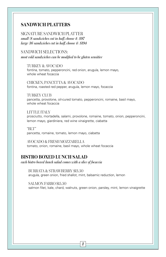#### **SANDWICH PLATTERS**

SIGNATURE SANDWICH PLATTER *small (8 sandwiches cut in half, choose 4) \$97 large (16 sandwiches cut in half, choose 4) \$194*

#### SANDWICH SELECTIONS:

*most cold sandwiches can be modified to be gluten sensitive*

TURKEY & AVOCADO fontina, tomato, pepperoncini, red onion, arugula, lemon mayo, whole wheat focaccia

CHICKEN, PANCETTA & AVOCADO fontina, roasted red pepper, arugula, lemon mayo, focaccia

TURKEY CLUB pancetta, provolone, oil-cured tomato, pepperoncini, romaine, basil mayo, whole wheat focaccia

LITTLE ITALY prosciutto, mortadella, salami, provolone, romaine, tomato, onion, pepperoncini, lemon mayo, giardiniera, red wine vinaigrette, ciabatta

"BLT" pancetta, romaine, tomato, lemon mayo, ciabatta

AVOCADO & FRESH MOZZARELLA tomato, onion, romaine, basil mayo, whole wheat focaccia

#### **BISTRO BOXED LUNCH SALAD**

*each bistro boxed lunch salad comes with a slice of focaccia*

BURRATA & STRAWBERRY \$13.50 arugula, green onion, fried shallot, mint, balsamic reduction, lemon

SALMON FARRO \$15.50 salmon filet, kale, chard, walnuts, green onion, parsley, mint, lemon vinaigrette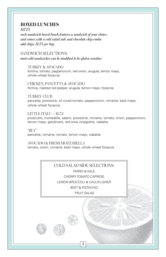# **BOXED LUNCHES**

*\$17.75*

*each sandwich boxed lunch features a sandwich of your choice, and comes with a cold salad side and chocolate chip cookie add chips, \$1.75 per bag*

SANDWICH SELECTIONS: *most cold sandwiches can be modified to be gluten sensitive* 

TURKEY & AVOCADO fontina, tomato, pepperoncini, red onion, arugula, lemon mayo, whole wheat focaccia

CHICKEN, PANCETTA & AVOCADO fontina, roasted red pepper, arugula, lemon mayo, focaccia

TURKEY CLUB pancetta, provolone, oil cured tomato, pepperoncini, romaine, basil mayo, whole wheat focaccia

LITTLE ITALY (+ \$1.75) prosciutto, mortadella, salami, provolone, romaine, tomato, onion, pepperoncini, lemon mayo, giardiniera, red wine vinaigrette, ciabatta

"BLT" pancetta, romaine, tomato, lemon mayo, ciabatta

AVOCADO & FRESH MOZZARELLA tomato, onion, romaine, basil mayo, whole wheat focaccia

> COLD SALAD SIDE SELECTIONS: FARRO & KALE

CHERRY TOMATO CAPRESE LEMON BROCCOLI & CAULIFLOWER BEET & PISTACHIO

FRUIT SALAD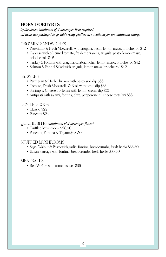# **HORS D'OEUVRES**

*by the dozen (minimum of 2 dozen per item required) all items are packaged to go, table ready platters are available for an additional charge*

#### OBO' MINI SANDWICHES

- Prosciutto & Fresh Mozzarella with arugula, pesto, lemon mayo, brioche roll \$42
- Caprese with oil-cured tomato, fresh mozzarella, arugula, pesto, lemon mayo, brioche roll \$42
- Turkey & Fontina with arugula, calabrian chili, lemon mayo, brioche roll \$42
- Salmon & Fennel Salad with arugula, lemon mayo, brioche roll \$42

#### **SKEWERS**

- Parmesan & Herb Chicken with pesto aioli dip \$33
- Tomato, Fresh Mozzarella & Basil with pesto dip \$33
- Shrimp & Cheese Tortellini with lemon cream dip \$33
- Antipasti with salami, fontina, olive, pepperoncini, cheese tortellini \$33

#### DEVILED EGGS

- Classic \$22
- Pancetta \$94

#### QUICHE BITES *(minimum of 2 dozen per flavor)*

- Truffled Mushroom \$28.50
- Pancetta, Fontina & Thyme \$28.50

#### STUFFED MUSHROOMS

- Sage-Walnut & Pesto with garlic, fontina, breadcrumbs, fresh herbs \$33.50
- Italian Sausage with fontina, breadcrumbs, fresh herbs \$33.50

#### MEATBALLS

• Beef & Pork with tomato sauce \$36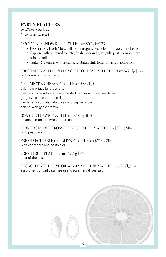# **PARTY PLATTERS**

*small serves up to 12 large serves up to 24*

OBO' MINI SANDWICH PLATTER sm \$90 / lg \$175

- Prosciutto & Fresh Mozzarella with arugula, pesto, lemon mayo, brioche roll
- Caprese with oil-cured tomato, fresh mozzarella, arugula, pesto, lemon mayo, brioche roll
- Turkey & Fontina with arugula, calabrian chili, lemon mayo, brioche roll

FRESH MOZZARELLA & PROSCIUTTO CROSTINI PLATTER sm \$72 / lg \$144 with tomato, basil, olive oil

OBO' MEAT & CHEESE PLATTER sm \$83 / lg \$166 salami, mortadella, prosciutto, fresh mozzarella topped with roasted pepper and oil-cured tomato, gorgonzola dolce, herbed ricotta, garnished with kalamata olives and pepperoncini, served with garlic crostini

ROASTED PRAWN PLATTER sm \$73 / lg \$146 creamy lemon dip; two per person

FARMER'S MARKET ROASTED VEGETABLE PLATTER sm \$57 / lg \$114 with pesto aioli

FRESH VEGETABLE CRUDITÉS PLATTER sm \$57 / lg \$114 with caesar dip and pesto aioli

FRESH FRUIT PLATTER sm \$42 / lg \$84 best of the season

FOCACCIA WITH OLIVE OIL & BALSAMIC DIP PLATTER sm \$27 / lg \$54 assortment of garlic parmesan and rosemary & sea salt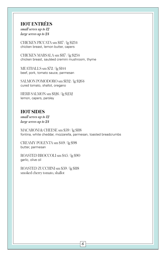# **HOT ENTRÉES**

*small serves up to 12 large serves up to 24*

CHICKEN PICCATA sm \$117 / lg \$234 chicken breast, lemon butter, capers

CHICKEN MARSALA sm \$117 / lg \$234 chicken breast, sautéed cremini mushroom, thyme

MEATBALLS sm \$72 / lg \$144 beef, pork, tomato sauce, parmesan

SALMON POMODORO sm \$132 / lg \$264 cured tomato, shallot, oregano

HERB SALMON sm \$126 / lg \$252 lemon, capers, parsley

# **HOT SIDES**

*small serves up to 12 large serves up to 24*

MACARONI & CHEESE sm \$59 / lg \$118 fontina, white cheddar, mozzarella, parmesan, toasted breadcrumbs

CREAMY POLENTA sm \$49 / lg \$98 butter, parmesan

ROASTED BROCCOLI sm \$45 / lg \$90 garlic, olive oil

ROASTED ZUCCHINI sm \$59 / lg \$118 smoked cherry tomato, shallot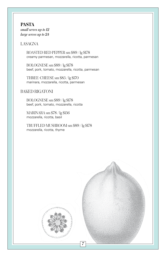**PASTA** *small serves up to 12 large serves up to 24*

#### LASAGNA

ROASTED RED PEPPER sm \$89 / lg \$178 creamy parmesan, mozzarella, ricotta, parmesan

BOLOGNESE sm \$89 / lg \$178 beef, pork, tomato, mozzarella, ricotta, parmesan

THREE-CHEESE sm \$85 / lg \$170 marinara, mozzarella, ricotta, parmesan

#### BAKED RIGATONI

BOLOGNESE sm \$89 / lg \$178 beef, pork, tomato, mozzarella, ricotta

MARINARA sm \$78 / lg \$156 mozzarella, ricotta, basil

TRUFFLED MUSHROOM sm \$89 / lg \$178 mozzarella, ricotta, thyme

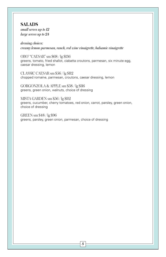#### **SALADS**  *small serves up to 12*

*large serves up to 24*

*dressing choices: creamy lemon-parmesan, ranch, red wine vinaigrette, balsamic vinaigrette*

OBO' "CAESAR" sm \$68 / lg \$136 greens, tomato, fried shallot, ciabatta croutons, parmesan, six minute egg, caesar dressing, lemon

CLASSIC CAESAR sm \$56 / lg \$112 chopped romaine, parmesan, croutons, caesar dressing, lemon

GORGONZOLA & APPLE sm \$58 / lg \$116 greens, green onion, walnuts, choice of dressing

MISTA GARDEN sm \$56 / lg \$112 greens, cucumber, cherry tomatoes, red onion, carrot, parsley, green onion, choice of dressing

GREEN sm \$48 / lg \$96 greens, parsley, green onion, parmesan, choice of dressing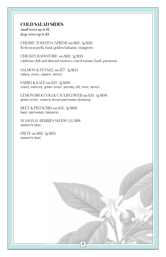## **COLD SALAD SIDES**

*small serves up to 12 large serves up to 24*

CHERRY TOMATO CAPRESE sm \$62 / lg \$124 fresh mozzarella, basil, golden balsamic vinaigrette

CHICKEN RADIATORE sm \$62 / lg \$124 calabrian chili and almond romesco, cured tomato, basil, parmesan

SALMON & FENNEL sm \$77 / lg \$154 celery, onion, capers, lemon

FARRO & KALE sm \$53 / lg \$106 chard, walnuts, green onion, parsley, dill, mint, lemon

LEMON BROCCOLI & CAULIFLOWER sm \$53 / lg \$106 green onion, creamy lemon-parmesan dressing

BEET & PISTACHIO sm \$53 / lg \$106 basil, parmesan, balsamic

SEASONAL BERRIES SM \$59 | LG \$118 season's best

FRUIT sm \$62 / lg \$124 season's best

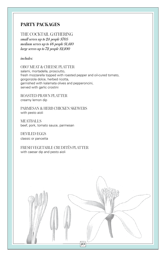#### THE COCKTAIL GATHERING

*small serves up to 24 people \$705 medium serves up to 48 people \$1,410 large serves up to 72 people \$2,100*

*includes:*

OBO' MEAT & CHEESE PLATTER salami, mortadella, prosciutto, fresh mozzarella topped with roasted pepper and oil-cured tomato, gorgonzola dolce, herbed ricotta, garnished with kalamata olives and pepperoncini, served with garlic crostini

*10*

ROASTED PRAWN PLATTER creamy lemon dip

PARMESAN & HERB CHICKEN SKEWERS with pesto aioli

**MEATBALLS** beef, pork, tomato sauce, parmesan

DEVILED EGGS classic or pancetta

FRESH VEGETABLE CRUDITÉS PLATTER with caesar dip and pesto aioli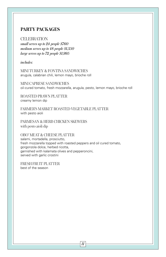#### CELEBRATION

*small serves up to 24 people \$760 medium serves up to 48 people \$1,350 large serves up to 72 people \$1,995*

*includes:*

MINI TURKEY & FONTINA SANDWICHES arugula, calabrian chili, lemon mayo, brioche roll

MINI CAPRESE SANDWICHES oil -cured tomato, fresh mozzarella, arugula, pesto, lemon mayo, brioche roll

ROASTED PRAWN PLATTER creamy lemon dip

FARMER'S MARKET ROASTED VEGETABLE PLATTER with pesto aioli

PARMESAN & HERB CHICKEN SKEWERS with pesto aioli dip

OBO' MEAT & CHEESE PLATTER salami, mortadella, prosciutto, fresh mozzarella topped with roasted peppers and oil cured tomato, gorgonzola dolce, herbed ricotta, garnished with kalamata olives and pepperoncini, served with garlic crostini

FRESH FRUIT PLATTER best of the season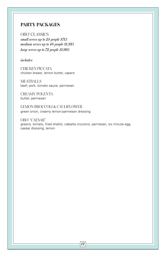OBO' CLASSICS *small serves up to 24 people \$715 medium serves up to 48 people \$1,395 large serves up to 72 people \$1,995*

*includes:*

CHICKEN PICCATA chicken breast, lemon butter, capers

MEATBALLS beef, pork, tomato sauce, parmesan

CREAMY POLENTA butter, parmesan

LEMON BROCCOLI & CAULIFLOWER green onion, creamy lemon-parmesan dressing

OBO' "CAESAR" greens, tomato, fried shallot, ciabatta croutons, parmesan, six minute egg, caesar dressing, lemon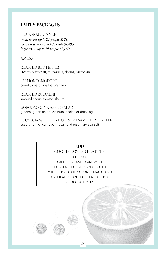SEASONAL DINNER *small serves up to 24 people \$720 medium serves up to 48 people \$1,435 large serves up to 72 people \$2,150*

*includes:*

ROASTED RED PEPPER creamy parmesan, mozzarella, ricotta, parmesan

SALMON POMODORO cured tomato, shallot, oregano

ROASTED ZUCCHINI smoked cherry tomato, shallot

GORGONZOLA & APPLE SALAD greens, green onion, walnuts, choice of dressing

FOCACCIA WITH OLIVE OIL & BALSAMIC DIP PLATTER assortment of garlic-parmesan and rosemary-sea salt

> ADD COOKIE LOVERS PLATTER CHURRO SALTED CARAMEL SANDWICH CHOCOLATE FUDGE PEANUT BUTTER WHITE CHOCOLATE COCONUT MACADAMIA OATMEAL PECAN CHOCOLATE CHUNK CHOCOLATE CHIP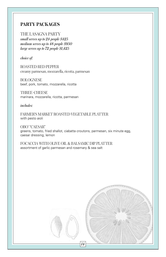THE LASAGNA PARTY *small serves up to 24 people \$425 medium serves up to 48 people \$950 large serves up to 72 people \$1,425*

*choice of:*

ROASTED RED PEPPER creamy parmesan, mozzarella, ricotta, parmesan

BOLOGNESE beef, pork, tomato, mozzarella, ricotta

THREE-CHEESE marinara, mozzarella, ricotta, parmesan

*includes:*

FARMER'S MARKET ROASTED VEGETABLE PLATTER with pesto aioli

OBO' "CAESAR" greens, tomato, fried shallot, ciabatta croutons, parmesan, six minute egg, caesar dressing, lemon

FOCACCIA WITH OLIVE OIL & BALSAMIC DIP PLATTER assortment of garlic parmesan and rosemary & sea salt

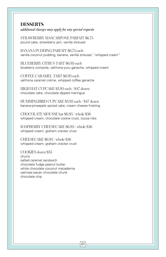## **DESSERTS**

*additional charges may apply for any special requests*

STRAWBERRY MASCARPONE PARFAIT \$6.75 pound cake, strawberry jam, vanilla streusel

BANANA PUDDING PARFAIT \$6.75 each vanilla coconut pudding, banana, vanilla streusel, "whipped cream"

BLUEBERRY CITRUS TART \$6.95 each blueberry compote, valrhona yuzu ganache, whipped cream

COFFEE CARAMEL TART \$6.95 each valrhona caramel crème, whipped coffee ganache

HIGH HAT CUPCAKE \$3.95 each / \$47 dozen chocolate cake, chocolate dipped meringue

HUMMINGBIRD CUPCAKE \$3.95 each / \$47 dozen banana-pineapple spiced cake, cream cheese frosting

CHOCOLATE MOUSSE bar \$6.95 / whole \$56 whipped cream, chocolate cookie crust, cocoa nibs

RASPBERRY CHEESECAKE \$6.95 / whole \$56 whipped cream, graham cracker crust

CHEESECAKE \$6.95 / whole \$56 whipped cream, graham cracker crust

COOKIES dozen \$35 churro salted caramel sandwich chocolate fudge peanut butter white chocolate coconut macadamia oatmeal pecan chocolate chunk chocolate chip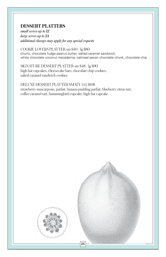# **DESSERT PLATTERS**

*small serves up to 12 large serves up to 24 additional charges may apply for any special requests*

COOKIE LOVERS PLATTER sm \$40 / lg \$80 churro, chocolate fudge peanut butter, salted caramel sandwich, white chocolate coconut macadamia, oatmeal pecan chocolate chunk, chocolate chip

SIGNATURE DESSERT PLATTER sm \$48 / lg \$90 high hat cupcakes, cheesecake bars, chocolate chip cookies, salted caramel sandwich cookies

DELUXE DESSERT PLATTER SM \$74 | LG \$148 strawberry mascarpone, parfait, banana pudding parfait, blueberry citrus tart, coffee caramel tart, hummingbird cupcake, high hat cupcake

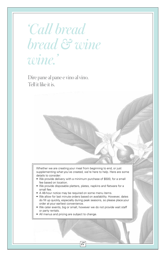# *'Call bread bread & wine wine.'*

Dire pane al pane e vino al vino. Tell it like it is.

> Whether we are creating your meal from beginning to end, or just supplementing what you've created, we're here to help. Here are some details to consider:

- We provide delivery with a minimum purchase of \$500, for a small fee based on location.
- We provide disposable platters, plates, napkins and flatware for a small fee.
- A 48-hour notice may be required on some menu items.
- We allow for last minute orders based on availability. However, dates do fill up quickly, especially during peak seasons, so please place your order at your earliest convenience.
- We cater events, big or small, however we do not provide wait staff or party rentals.

*173*

• All menus and pricing are subject to change.